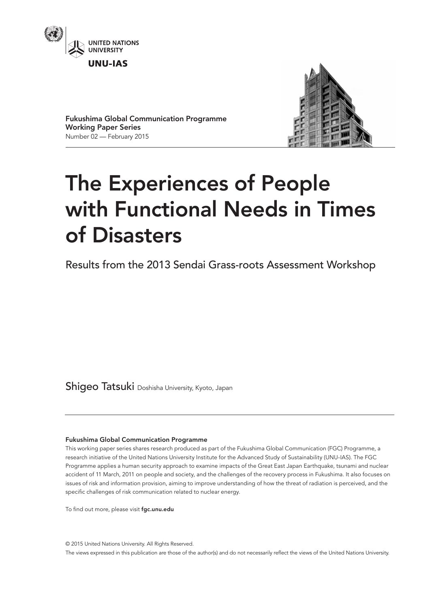



Fukushima Global Communication Programme Working Paper Series Number 02 — February 2015

# The Experiences of People with Functional Needs in Times of Disasters

Results from the 2013 Sendai Grass-roots Assessment Workshop

Shigeo Tatsuki Doshisha University, Kyoto, Japan

### Fukushima Global Communication Programme

This working paper series shares research produced as part of the Fukushima Global Communication (FGC) Programme, a research initiative of the United Nations University Institute for the Advanced Study of Sustainability (UNU-IAS). The FGC Programme applies a human security approach to examine impacts of the Great East Japan Earthquake, tsunami and nuclear accident of 11 March, 2011 on people and society, and the challenges of the recovery process in Fukushima. It also focuses on issues of risk and information provision, aiming to improve understanding of how the threat of radiation is perceived, and the specific challenges of risk communication related to nuclear energy.

To find out more, please visit fgc.unu.edu

© 2015 United Nations University. All Rights Reserved. The views expressed in this publication are those of the author(s) and do not necessarily reflect the views of the United Nations University.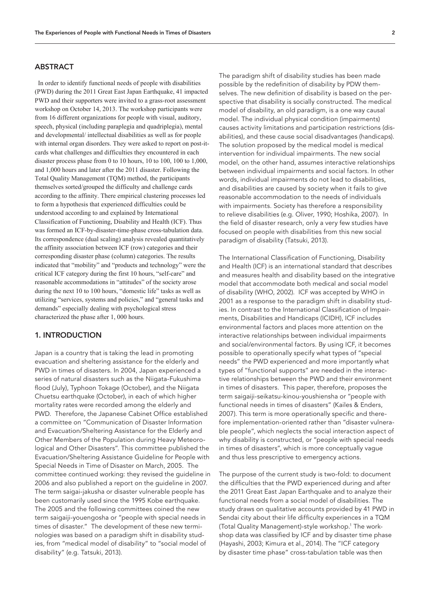#### ABSTRACT

 In order to identify functional needs of people with disabilities (PWD) during the 2011 Great East Japan Earthquake, 41 impacted PWD and their supporters were invited to a grass-root assessment workshop on October 14, 2013. The workshop participants were from 16 different organizations for people with visual, auditory, speech, physical (including paraplegia and quadriplegia), mental and developmental/ intellectual disabilities as well as for people with internal organ disorders. They were asked to report on post-itcards what challenges and difficulties they encountered in each disaster process phase from 0 to 10 hours, 10 to 100, 100 to 1,000, and 1,000 hours and later after the 2011 disaster. Following the Total Quality Management (TQM) method, the participants themselves sorted/grouped the difficulty and challenge cards according to the affinity. There empirical clustering processes led to form a hypothesis that experienced difficulties could be understood according to and explained by International Classification of Functioning, Disability and Health (ICF). Thus was formed an ICF-by-disaster-time-phase cross-tabulation data. Its correspondence (dual scaling) analysis revealed quantitatively the affinity association between ICF (row) categories and their corresponding disaster phase (column) categories. The results indicated that "mobility" and "products and technology" were the critical ICF category during the first 10 hours, "self-care" and reasonable accommodations in "attitudes" of the society arose during the next 10 to 100 hours, "domestic life" tasks as well as utilizing "services, systems and policies," and "general tasks and demands" especially dealing with psychological stress characterized the phase after 1, 000 hours.

## 1. INTRODUCTION

Japan is a country that is taking the lead in promoting evacuation and sheltering assistance for the elderly and PWD in times of disasters. In 2004, Japan experienced a series of natural disasters such as the Niigata-Fukushima flood (July), Typhoon Tokage (October), and the Niigata Chuetsu earthquake (October), in each of which higher mortality rates were recorded among the elderly and PWD. Therefore, the Japanese Cabinet Office established a committee on "Communication of Disaster Information and Evacuation/Sheltering Assistance for the Elderly and Other Members of the Population during Heavy Meteorological and Other Disasters". This committee published the Evacuation/Sheltering Assistance Guideline for People with Special Needs in Time of Disaster on March, 2005. The committee continued working: they revised the guideline in 2006 and also published a report on the guideline in 2007. The term saigai-jakusha or disaster vulnerable people has been customarily used since the 1995 Kobe earthquake. The 2005 and the following committees coined the new term saigaiji-youengosha or "people with special needs in times of disaster." The development of these new terminologies was based on a paradigm shift in disability studies, from "medical model of disability" to "social model of disability" (e.g. Tatsuki, 2013).

The paradigm shift of disability studies has been made possible by the redefinition of disability by PDW themselves. The new definition of disability is based on the perspective that disability is socially constructed. The medical model of disability, an old paradigm, is a one way causal model. The individual physical condition (impairments) causes activity limitations and participation restrictions (dis‑ abilities), and these cause social disadvantages (handicaps). The solution proposed by the medical model is medical intervention for individual impairments. The new social model, on the other hand, assumes interactive relationships between individual impairments and social factors. In other words, individual impairments do not lead to disabilities, and disabilities are caused by society when it fails to give reasonable accommodation to the needs of individuals with impairments. Society has therefore a responsibility to relieve disabilities (e.g. Oliver, 1990; Hoshika, 2007). In the field of disaster research, only a very few studies have focused on people with disabilities from this new social paradigm of disability (Tatsuki, 2013).

The International Classification of Functioning, Disability and Health (ICF) is an international standard that describes and measures health and disability based on the integrative model that accommodate both medical and social model of disability (WHO, 2002). ICF was accepted by WHO in 2001 as a response to the paradigm shift in disability studies. In contrast to the International Classification of Impairments, Disabilities and Handicaps (ICIDH), ICF includes environmental factors and places more attention on the interactive relationships between individual impairments and social/environmental factors. By using ICF, it becomes possible to operationally specify what types of "special needs" the PWD experienced and more importantly what types of "functional supports" are needed in the interactive relationships between the PWD and their environment in times of disasters. This paper, therefore, proposes the term saigaiji-seikatsu-kinou-youshiensha or "people with functional needs in times of disasters" (Kailes & Enders, 2007). This term is more operationally specific and therefore implementation-oriented rather than "disaster vulnerable people", which neglects the social interaction aspect of why disability is constructed, or "people with special needs in times of disasters", which is more conceptually vague and thus less prescriptive to emergency actions.

The purpose of the current study is two-fold: to document the difficulties that the PWD experienced during and after the 2011 Great East Japan Earthquake and to analyze their functional needs from a social model of disabilities. The study draws on qualitative accounts provided by 41 PWD in Sendai city about their life difficulty experiences in a TQM (Total Quality Management)-style workshop.1 The work‑ shop data was classified by ICF and by disaster time phase (Hayashi, 2003; Kimura et al., 2014). The "ICF category by disaster time phase" cross-tabulation table was then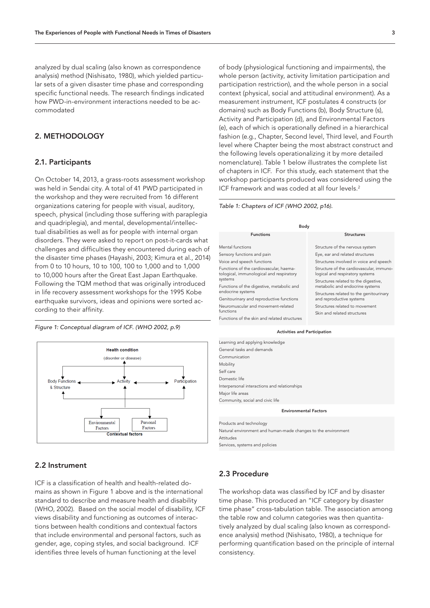analyzed by dual scaling (also known as correspondence analysis) method (Nishisato, 1980), which yielded particular sets of a given disaster time phase and corresponding specific functional needs. The research findings indicated how PWD-in-environment interactions needed to be accommodated

### 2. METHODOLOGY

#### 2.1. Participants

On October 14, 2013, a grass-roots assessment workshop was held in Sendai city. A total of 41 PWD participated in the workshop and they were recruited from 16 different organizations catering for people with visual, auditory, speech, physical (including those suffering with paraplegia and quadriplegia), and mental, developmental/intellectual disabilities as well as for people with internal organ disorders. They were asked to report on post-it-cards what challenges and difficulties they encountered during each of the disaster time phases (Hayashi, 2003; Kimura et al., 2014) from 0 to 10 hours, 10 to 100, 100 to 1,000 and to 1,000 to 10,000 hours after the Great East Japan Earthquake. Following the TQM method that was originally introduced in life recovery assessment workshops for the 1995 Kobe earthquake survivors, ideas and opinions were sorted according to their affinity.

*Figure 1: Conceptual diagram of ICF. (WHO 2002, p.9)*



### 2.2 Instrument

ICF is a classification of health and health-related domains as shown in Figure 1 above and is the international standard to describe and measure health and disability (WHO, 2002). Based on the social model of disability, ICF views disability and functioning as outcomes of interactions between health conditions and contextual factors that include environmental and personal factors, such as gender, age, coping styles, and social background. ICF identifies three levels of human functioning at the level

of body (physiological functioning and impairments), the whole person (activity, activity limitation participation and participation restriction), and the whole person in a social context (physical, social and attitudinal environment). As a measurement instrument, ICF postulates 4 constructs (or domains) such as Body Functions (b), Body Structure (s), Activity and Participation (d), and Environmental Factors (e), each of which is operationally defined in a hierarchical fashion (e.g., Chapter, Second level, Third level, and Fourth level where Chapter being the most abstract construct and the following levels operationalizing it by more detailed nomenclature). Table 1 below illustrates the complete list of chapters in ICF. For this study, each statement that the workshop participants produced was considered using the ICF framework and was coded at all four levels.<sup>2</sup>

#### *Table 1: Chapters of ICF (WHO 2002, p16).*

| Body                                                                                |                                                                                                                                                |  |  |  |  |  |  |  |
|-------------------------------------------------------------------------------------|------------------------------------------------------------------------------------------------------------------------------------------------|--|--|--|--|--|--|--|
| <b>Functions</b>                                                                    | <b>Structures</b>                                                                                                                              |  |  |  |  |  |  |  |
| Mental functions                                                                    | Structure of the nervous system                                                                                                                |  |  |  |  |  |  |  |
| Sensory functions and pain                                                          | Eye, ear and related structures                                                                                                                |  |  |  |  |  |  |  |
| Voice and speech functions                                                          | Structures involved in voice and speech                                                                                                        |  |  |  |  |  |  |  |
| Functions of the cardiovascular, haema-<br>tological, immunological and respiratory | Structure of the cardiovascular, immuno-<br>logical and respiratory systems                                                                    |  |  |  |  |  |  |  |
| systems<br>Functions of the digestive, metabolic and                                | Structures related to the digestive,<br>metabolic and endocrine systems<br>Structures related to the genitourinary<br>and reproductive systems |  |  |  |  |  |  |  |
| endocrine systems<br>Genitourinary and reproductive functions                       |                                                                                                                                                |  |  |  |  |  |  |  |
| Neuromuscular and movement-related<br>functions                                     | Structures related to movement                                                                                                                 |  |  |  |  |  |  |  |
| Functions of the skin and related structures                                        | Skin and related structures                                                                                                                    |  |  |  |  |  |  |  |

Activities and Participation

| Learning and applying knowledge              |  |  |  |  |  |  |
|----------------------------------------------|--|--|--|--|--|--|
| General tasks and demands                    |  |  |  |  |  |  |
| Communication                                |  |  |  |  |  |  |
| Mobility                                     |  |  |  |  |  |  |
| Self care                                    |  |  |  |  |  |  |
| Domestic life                                |  |  |  |  |  |  |
| Interpersonal interactions and relationships |  |  |  |  |  |  |
| Major life areas                             |  |  |  |  |  |  |
| Community, social and civic life             |  |  |  |  |  |  |
| <b>Environmental Factors</b>                 |  |  |  |  |  |  |
|                                              |  |  |  |  |  |  |
| Products and technology                      |  |  |  |  |  |  |

Natural environment and human-made changes to the environment Attitudes Services, systems and policies

### 2.3 Procedure

The workshop data was classified by ICF and by disaster time phase. This produced an "ICF category by disaster time phase" cross-tabulation table. The association among the table row and column categories was then quantitatively analyzed by dual scaling (also known as correspondence analysis) method (Nishisato, 1980), a technique for performing quantification based on the principle of internal consistency.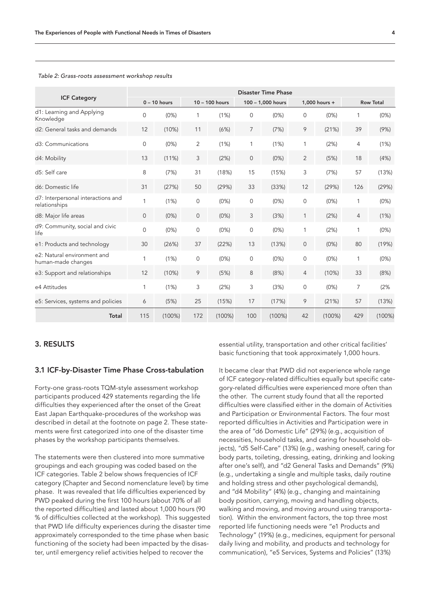| <b>ICF Category</b><br>d1: Learning and Applying<br>Knowledge | <b>Disaster Time Phase</b> |           |                |           |                   |           |                |           |                  |           |
|---------------------------------------------------------------|----------------------------|-----------|----------------|-----------|-------------------|-----------|----------------|-----------|------------------|-----------|
|                                                               | $0 - 10$ hours             |           | 10 - 100 hours |           | 100 - 1,000 hours |           | 1,000 hours +  |           | <b>Row Total</b> |           |
|                                                               | $\mathbf{0}$               | (0%)      | 1              | (1%)      | 0                 | (0%)      | 0              | (0%)      | 1                | (0%)      |
| d2: General tasks and demands                                 | 12                         | (10%)     | 11             | (6%)      | 7                 | (7%)      | 9              | (21%)     | 39               | (9%)      |
| d3: Communications                                            | $\mathbf{O}$               | (0%)      | 2              | (1%)      | 1                 | (1%)      | 1              | (2%)      | 4                | (1%)      |
| d4: Mobility                                                  | 13                         | $(11\%)$  | 3              | (2%)      | 0                 | (0%)      | $\overline{2}$ | (5%)      | 18               | (4%)      |
| d5: Self care                                                 | 8                          | (7%)      | 31             | (18%)     | 15                | (15%)     | 3              | (7%)      | 57               | (13%)     |
| d6: Domestic life                                             | 31                         | (27%)     | 50             | (29%)     | 33                | (33%)     | 12             | (29%)     | 126              | (29%)     |
| d7: Interpersonal interactions and<br>relationships           | 1                          | (1%)      | $\mathbf{0}$   | (0%)      | $\mathbf 0$       | (0%)      | 0              | (0%)      | 1                | (0%)      |
| d8: Major life areas                                          | $\mathbf 0$                | (0%)      | $\mathbf 0$    | (0%)      | 3                 | (3%)      | 1              | (2%)      | 4                | (1%)      |
| d9: Community, social and civic<br>life                       | $\mathbf{0}$               | (0%)      | $\mathbf 0$    | (0%)      | 0                 | (0%)      | 1              | (2%)      | 1                | (0%)      |
| e1: Products and technology                                   | 30                         | (26%)     | 37             | (22%)     | 13                | (13%)     | $\mathbf 0$    | (0%)      | 80               | (19%)     |
| e2: Natural environment and<br>human-made changes             | 1                          | (1%)      | $\mathbf 0$    | (0%)      | $\mathbf{0}$      | (0%)      | 0              | (0%)      | 1                | (0%)      |
| e3: Support and relationships                                 | 12                         | (10%)     | 9              | (5%)      | 8                 | (8%)      | 4              | (10%)     | 33               | (8%)      |
| e4 Attitudes                                                  | 1                          | (1%)      | 3              | (2%)      | 3                 | (3%)      | 0              | (0%)      | $\overline{7}$   | (2%       |
| e5: Services, systems and policies                            | 6                          | (5%)      | 25             | (15%)     | 17                | (17%)     | 9              | (21%)     | 57               | (13%)     |
| Total                                                         | 115                        | $(100\%)$ | 172            | $(100\%)$ | 100               | $(100\%)$ | 42             | $(100\%)$ | 429              | $(100\%)$ |

#### *Table 2: Grass-roots assessment workshop results*

## 3. RESULTS

### 3.1 ICF-by-Disaster Time Phase Cross-tabulation

Forty-one grass-roots TQM-style assessment workshop participants produced 429 statements regarding the life difficulties they experienced after the onset of the Great East Japan Earthquake-procedures of the workshop was described in detail at the footnote on page 2. These statements were first categorized into one of the disaster time phases by the workshop participants themselves.

The statements were then clustered into more summative groupings and each grouping was coded based on the ICF categories. Table 2 below shows frequencies of ICF category (Chapter and Second nomenclature level) by time phase. It was revealed that life difficulties experienced by PWD peaked during the first 100 hours (about 70% of all the reported difficulties) and lasted about 1,000 hours (90 % of difficulties collected at the workshop). This suggested that PWD life difficulty experiences during the disaster time approximately corresponded to the time phase when basic functioning of the society had been impacted by the disaster, until emergency relief activities helped to recover the

essential utility, transportation and other critical facilities' basic functioning that took approximately 1,000 hours.

It became clear that PWD did not experience whole range of ICF category-related difficulties equally but specific category-related difficulties were experienced more often than the other. The current study found that all the reported difficulties were classified either in the domain of Activities and Participation or Environmental Factors. The four most reported difficulties in Activities and Participation were in the area of "d6 Domestic Life" (29%) (e.g., acquisition of necessities, household tasks, and caring for household objects), "d5 Self-Care" (13%) (e.g., washing oneself, caring for body parts, toileting, dressing, eating, drinking and looking after one's self), and "d2 General Tasks and Demands" (9%) (e.g., undertaking a single and multiple tasks, daily routine and holding stress and other psychological demands), and "d4 Mobility" (4%) (e.g., changing and maintaining body position, carrying, moving and handling objects, walking and moving, and moving around using transportation). Within the environment factors, the top three most reported life functioning needs were "e1 Products and Technology" (19%) (e.g., medicines, equipment for personal daily living and mobility, and products and technology for communication), "e5 Services, Systems and Policies" (13%)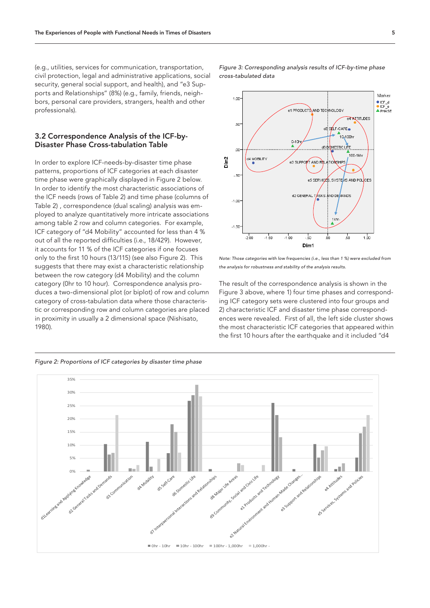(e.g., utilities, services for communication, transportation, civil protection, legal and administrative applications, social security, general social support, and health), and "e3 Supports and Relationships" (8%) (e.g., family, friends, neighbors, personal care providers, strangers, health and other professionals).

#### 3.2 Correspondence Analysis of the ICF-by-Disaster Phase Cross-tabulation Table

In order to explore ICF-needs-by-disaster time phase patterns, proportions of ICF categories at each disaster time phase were graphically displayed in Figure 2 below. In order to identify the most characteristic associations of the ICF needs (rows of Table 2) and time phase (columns of Table 2) , correspondence (dual scaling) analysis was em‑ ployed to analyze quantitatively more intricate associations among table 2 row and column categories. For example, ICF category of "d4 Mobility" accounted for less than 4 % out of all the reported difficulties (i.e., 18/429). However, it accounts for 11 % of the ICF categories if one focuses only to the first 10 hours (13/115) (see also Figure 2). This suggests that there may exist a characteristic relationship between the row category (d4 Mobility) and the column category (0hr to 10 hour). Correspondence analysis produces a two-dimensional plot (or biplot) of row and column category of cross-tabulation data where those characteristic or corresponding row and column categories are placed in proximity in usually a 2 dimensional space (Nishisato, 1980).



*Note: Those categories with low frequencies (i.e., less than 1 %) were excluded from the analysis for robustness and stability of the analysis results.* 

The result of the correspondence analysis is shown in the Figure 3 above, where 1) four time phases and corresponding ICF category sets were clustered into four groups and 2) characteristic ICF and disaster time phase correspondences were revealed. First of all, the left side cluster shows the most characteristic ICF categories that appeared within the first 10 hours after the earthquake and it included "d4



*Figure 3: Corresponding analysis results of ICF-by-time phase cross-tabulated data*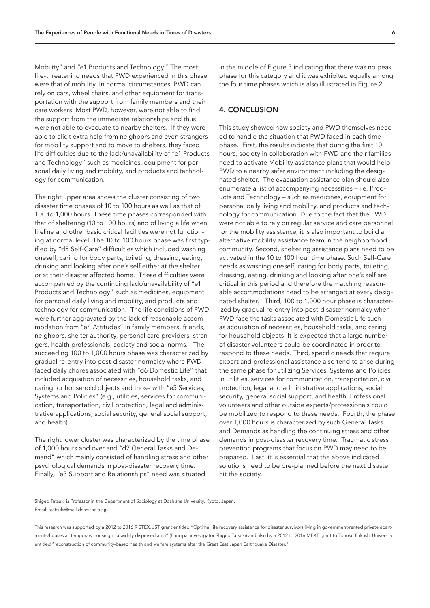Mobility" and "e1 Products and Technology." The most life-threatening needs that PWD experienced in this phase were that of mobility. In normal circumstances, PWD can rely on cars, wheel chairs, and other equipment for transportation with the support from family members and their care workers. Most PWD, however, were not able to find the support from the immediate relationships and thus were not able to evacuate to nearby shelters. If they were able to elicit extra help from neighbors and even strangers for mobility support and to move to shelters, they faced life difficulties due to the lack/unavailability of "e1 Products and Technology" such as medicines, equipment for personal daily living and mobility, and products and technology for communication.

The right upper area shows the cluster consisting of two disaster time phases of 10 to 100 hours as well as that of 100 to 1,000 hours. These time phases corresponded with that of sheltering (10 to 100 hours) and of living a life when lifeline and other basic critical facilities were not functioning at normal level. The 10 to 100 hours phase was first typified by "d5 Self-Care" difficulties which included washing oneself, caring for body parts, toileting, dressing, eating, drinking and looking after one's self either at the shelter or at their disaster affected home. These difficulties were accompanied by the continuing lack/unavailability of "e1 Products and Technology" such as medicines, equipment for personal daily living and mobility, and products and technology for communication. The life conditions of PWD were further aggravated by the lack of reasonable accommodation from "e4 Attitudes" in family members, friends, neighbors, shelter authority, personal care providers, strangers, health professionals, society and social norms. The succeeding 100 to 1,000 hours phase was characterized by gradual re-entry into post-disaster normalcy where PWD faced daily chores associated with "d6 Domestic Life" that included acquisition of necessities, household tasks, and caring for household objects and those with "e5 Services, Systems and Policies" (e.g., utilities, services for communication, transportation, civil protection, legal and administrative applications, social security, general social support, and health).

The right lower cluster was characterized by the time phase of 1,000 hours and over and "d2 General Tasks and De‑ mand" which mainly consisted of handling stress and other psychological demands in post-disaster recovery time. Finally, "e3 Support and Relationships" need was situated

in the middle of Figure 3 indicating that there was no peak phase for this category and it was exhibited equally among the four time phases which is also illustrated in Figure 2.

# 4. CONCLUSION

This study showed how society and PWD themselves needed to handle the situation that PWD faced in each time phase. First, the results indicate that during the first 10 hours, society in collaboration with PWD and their families need to activate Mobility assistance plans that would help PWD to a nearby safer environment including the designated shelter. The evacuation assistance plan should also enumerate a list of accompanying necessities - i.e. Products and Technology – such as medicines, equipment for personal daily living and mobility, and products and technology for communication. Due to the fact that the PWD were not able to rely on regular service and care personnel for the mobility assistance, it is also important to build an alternative mobility assistance team in the neighborhood community. Second, sheltering assistance plans need to be activated in the 10 to 100 hour time phase. Such Self-Care needs as washing oneself, caring for body parts, toileting, dressing, eating, drinking and looking after one's self are critical in this period and therefore the matching reasonable accommodations need to be arranged at every designated shelter. Third, 100 to 1,000 hour phase is characterized by gradual re-entry into post-disaster normalcy when PWD face the tasks associated with Domestic Life such as acquisition of necessities, household tasks, and caring for household objects. It is expected that a large number of disaster volunteers could be coordinated in order to respond to these needs. Third, specific needs that require expert and professional assistance also tend to arise during the same phase for utilizing Services, Systems and Policies in utilities, services for communication, transportation, civil protection, legal and administrative applications, social security, general social support, and health. Professional volunteers and other outside experts/professionals could be mobilized to respond to these needs. Fourth, the phase over 1,000 hours is characterized by such General Tasks and Demands as handling the continuing stress and other demands in post-disaster recovery time. Traumatic stress prevention programs that focus on PWD may need to be prepared. Last, it is essential that the above indicated solutions need to be pre-planned before the next disaster hit the society.

Shigeo Tatsuki is Professor in the Department of Sociology at Doshisha University, Kyoto, Japan. Email: statsuki@mail.doshisha.ac.jp

This research was supported by a 2012 to 2016 RISTEX, JST grant entitled "Optimal life recovery assistance for disaster survivors living in government-rented private apartments/houses as temporary housing in a widely dispersed area" (Principal investigator Shigeo Tatsuki) and also by a 2012 to 2016 MEXT grant to Tohoku Fukushi University entitled "reconstruction of community-based health and welfare systems after the Great East Japan Earthquake Disaster."